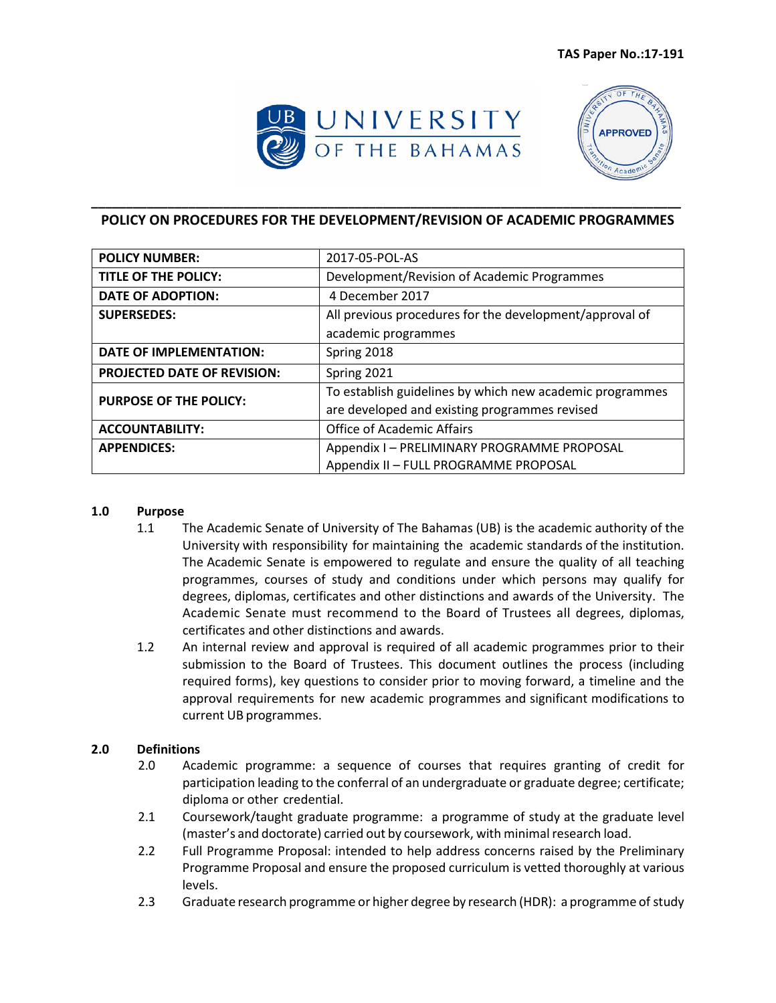



# **\_\_\_\_\_\_\_\_\_\_\_\_\_\_\_\_\_\_\_\_\_\_\_\_\_\_\_\_\_\_\_\_\_\_\_\_\_\_\_\_\_\_\_\_\_\_\_\_\_\_\_\_\_\_\_\_\_\_\_\_\_\_\_\_\_\_\_\_\_\_\_\_\_\_\_\_\_\_\_\_\_\_\_\_\_ POLICY ON PROCEDURES FOR THE DEVELOPMENT/REVISION OF ACADEMIC PROGRAMMES**

| <b>POLICY NUMBER:</b>              | 2017-05-POL-AS                                           |
|------------------------------------|----------------------------------------------------------|
| <b>TITLE OF THE POLICY:</b>        | Development/Revision of Academic Programmes              |
| <b>DATE OF ADOPTION:</b>           | 4 December 2017                                          |
| <b>SUPERSEDES:</b>                 | All previous procedures for the development/approval of  |
|                                    | academic programmes                                      |
| <b>DATE OF IMPLEMENTATION:</b>     | Spring 2018                                              |
| <b>PROJECTED DATE OF REVISION:</b> | Spring 2021                                              |
| <b>PURPOSE OF THE POLICY:</b>      | To establish guidelines by which new academic programmes |
|                                    | are developed and existing programmes revised            |
| <b>ACCOUNTABILITY:</b>             | <b>Office of Academic Affairs</b>                        |
| <b>APPENDICES:</b>                 | Appendix I - PRELIMINARY PROGRAMME PROPOSAL              |
|                                    | Appendix II - FULL PROGRAMME PROPOSAL                    |

#### **1.0 Purpose**

- 1.1 The Academic Senate of University of The Bahamas (UB) is the academic authority of the University with responsibility for maintaining the academic standards of the institution. The Academic Senate is empowered to regulate and ensure the quality of all teaching programmes, courses of study and conditions under which persons may qualify for degrees, diplomas, certificates and other distinctions and awards of the University. The Academic Senate must recommend to the Board of Trustees all degrees, diplomas, certificates and other distinctions and awards.
- 1.2 An internal review and approval is required of all academic programmes prior to their submission to the Board of Trustees. This document outlines the process (including required forms), key questions to consider prior to moving forward, a timeline and the approval requirements for new academic programmes and significant modifications to current UB programmes.

# **2.0 Definitions**

- 2.0 Academic programme: a sequence of courses that requires granting of credit for participation leading to the conferral of an undergraduate or graduate degree; certificate; diploma or other credential.
- 2.1 Coursework/taught graduate programme: a programme of study at the graduate level (master's and doctorate) carried out by coursework, with minimalresearch load.
- 2.2 Full Programme Proposal: intended to help address concerns raised by the Preliminary Programme Proposal and ensure the proposed curriculum is vetted thoroughly at various levels.
- 2.3 Graduate research programme or higher degree by research (HDR): a programme of study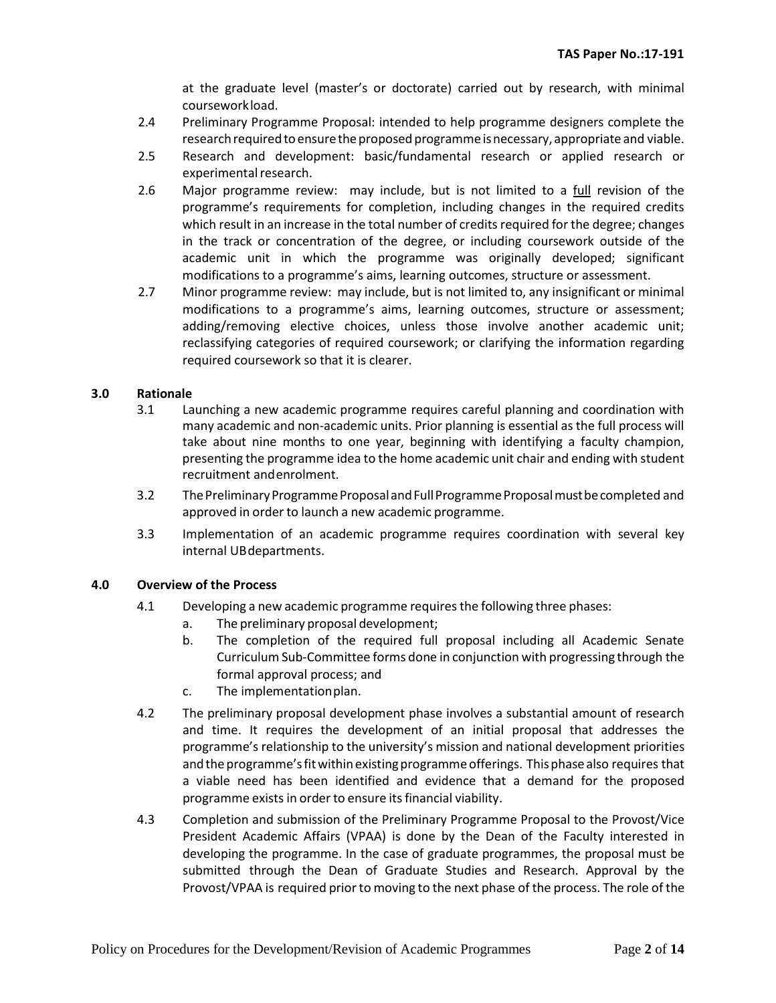at the graduate level (master's or doctorate) carried out by research, with minimal courseworkload.

- 2.4 Preliminary Programme Proposal: intended to help programme designers complete the research required to ensure the proposed programme is necessary, appropriate and viable.
- 2.5 Research and development: basic/fundamental research or applied research or experimental research.
- 2.6 Major programme review: may include, but is not limited to a full revision of the programme's requirements for completion, including changes in the required credits which result in an increase in the total number of credits required for the degree; changes in the track or concentration of the degree, or including coursework outside of the academic unit in which the programme was originally developed; significant modifications to a programme's aims, learning outcomes, structure or assessment.
- 2.7 Minor programme review: may include, but is not limited to, any insignificant or minimal modifications to a programme's aims, learning outcomes, structure or assessment; adding/removing elective choices, unless those involve another academic unit; reclassifying categories of required coursework; or clarifying the information regarding required coursework so that it is clearer.

### **3.0 Rationale**

- 3.1 Launching a new academic programme requires careful planning and coordination with many academic and non-academic units. Prior planning is essential as the full process will take about nine months to one year, beginning with identifying a faculty champion, presenting the programme idea to the home academic unit chair and ending with student recruitment andenrolment.
- 3.2 The Preliminary Programme Proposal and Full Programme Proposal must be completed and approved in order to launch a new academic programme.
- 3.3 Implementation of an academic programme requires coordination with several key internal UBdepartments.

#### **4.0 Overview of the Process**

- 4.1 Developing a new academic programme requires the following three phases:
	- a. The preliminary proposal development;
	- b. The completion of the required full proposal including all Academic Senate Curriculum Sub-Committee forms done in conjunction with progressing through the formal approval process; and
	- c. The implementationplan.
- 4.2 The preliminary proposal development phase involves a substantial amount of research and time. It requires the development of an initial proposal that addresses the programme's relationship to the university's mission and national development priorities and the programme's fit within existing programme offerings. This phase also requires that a viable need has been identified and evidence that a demand for the proposed programme exists in order to ensure its financial viability.
- 4.3 Completion and submission of the Preliminary Programme Proposal to the Provost/Vice President Academic Affairs (VPAA) is done by the Dean of the Faculty interested in developing the programme. In the case of graduate programmes, the proposal must be submitted through the Dean of Graduate Studies and Research. Approval by the Provost/VPAA is required prior to moving to the next phase of the process. The role of the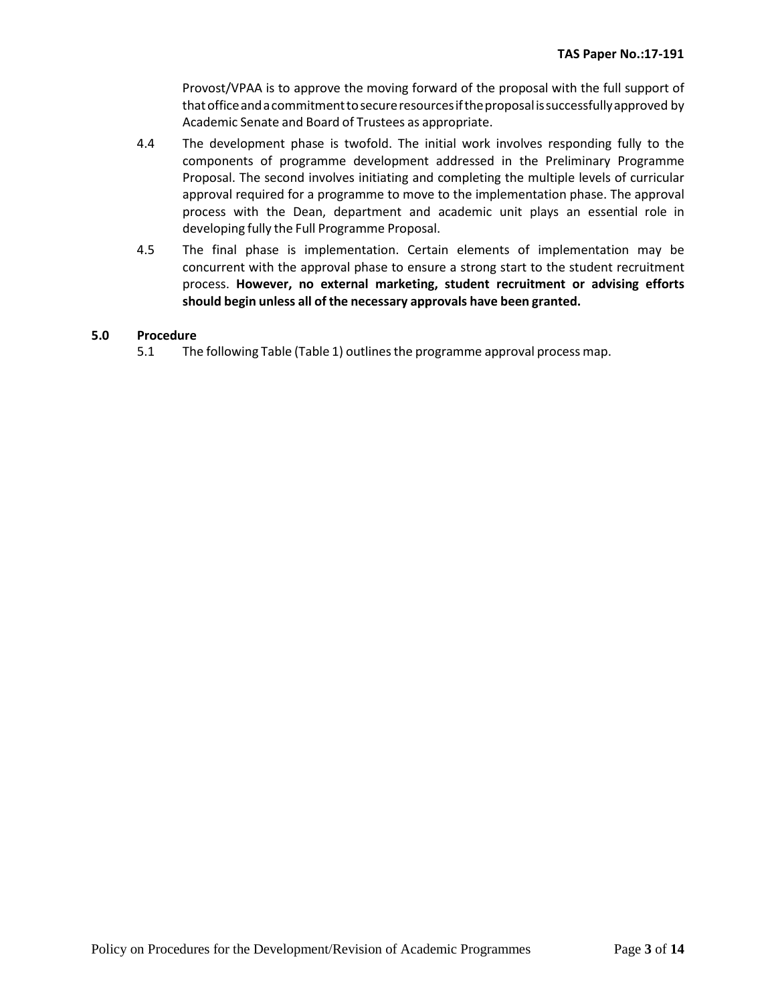Provost/VPAA is to approve the moving forward of the proposal with the full support of thatofficeandacommitmenttosecureresourcesiftheproposalissuccessfullyapproved by Academic Senate and Board of Trustees as appropriate.

- 4.4 The development phase is twofold. The initial work involves responding fully to the components of programme development addressed in the Preliminary Programme Proposal. The second involves initiating and completing the multiple levels of curricular approval required for a programme to move to the implementation phase. The approval process with the Dean, department and academic unit plays an essential role in developing fully the Full Programme Proposal.
- 4.5 The final phase is implementation. Certain elements of implementation may be concurrent with the approval phase to ensure a strong start to the student recruitment process. **However, no external marketing, student recruitment or advising efforts should begin unless all of the necessary approvals have been granted.**

# **5.0 Procedure**

5.1 The following Table (Table 1) outlinesthe programme approval process map.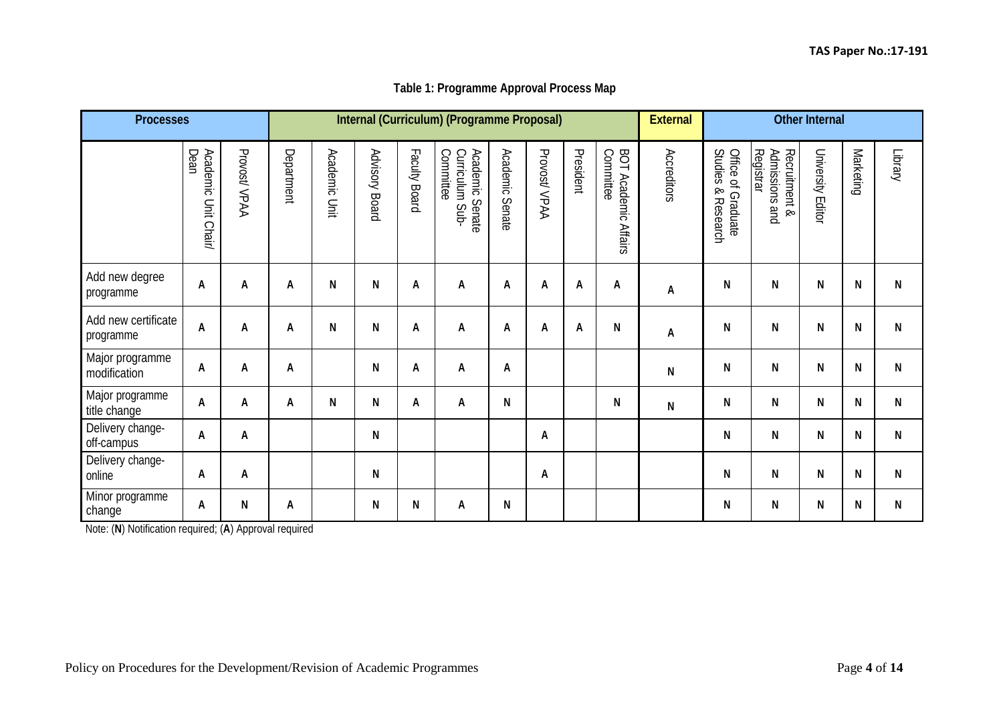# **Table 1: Programme Approval Process Map**

| <b>Processes</b>                 |                              |              |            |               |                |               | Internal (Curriculum) (Programme Proposal)           |                           |              |           |                                          | <b>External</b>           | <b>Other Internal</b>                                        |                                              |                   |           |               |
|----------------------------------|------------------------------|--------------|------------|---------------|----------------|---------------|------------------------------------------------------|---------------------------|--------------|-----------|------------------------------------------|---------------------------|--------------------------------------------------------------|----------------------------------------------|-------------------|-----------|---------------|
|                                  | Dean<br>Academic Unit Chair/ | Provost/VPAA | Department | Academic Unit | Advisory Board | Faculty Board | Curriculum :<br>Committee<br>Academic Senate<br>Sub- | <b>Academic</b><br>Senate | Provost/VPAA | President | Committee<br><b>BOT Academic Affairs</b> | Accreditors               | <b>Studies</b><br>Office of Graduate<br>$\infty$<br>Research | Registrar<br>Admissions and<br>Recruitment & | University Editor | Marketing | <b>Cupuqi</b> |
| Add new degree<br>programme      | A                            | A            | A          | N             | ${\sf N}$      | А             | A                                                    | A                         | А            | A         | A                                        | $\boldsymbol{\mathsf{A}}$ | N                                                            | N                                            | N                 | N         | N             |
| Add new certificate<br>programme | A                            | A            | A          | N             | ${\sf N}$      | А             | A                                                    | A                         | Α            | A         | N                                        | A                         | N                                                            | N                                            | N                 | N         | N             |
| Major programme<br>modification  | A                            | A            | A          |               | ${\sf N}$      | А             | А                                                    | Α                         |              |           |                                          | N                         | N                                                            | N                                            | N                 | N         | N             |
| Major programme<br>title change  | A                            | A            | A          | ${\sf N}$     | ${\sf N}$      | А             | А                                                    | N                         |              |           | N                                        | N                         | N                                                            | N                                            | N                 | N         | ${\sf N}$     |
| Delivery change-<br>off-campus   | А                            | A            |            |               | N              |               |                                                      |                           | A            |           |                                          |                           | N                                                            | N                                            | N                 | N         | N             |
| Delivery change-<br>online       | A                            | A            |            |               | ${\sf N}$      |               |                                                      |                           | A            |           |                                          |                           | N                                                            | N                                            | N                 | N         | N             |
| Minor programme<br>change        | A                            | ${\sf N}$    | A          |               | ${\sf N}$      | N             | A                                                    | N                         |              |           |                                          |                           | N                                                            | N                                            | N                 | N         | N             |

Note: (**N**) Notification required; (**A**) Approval required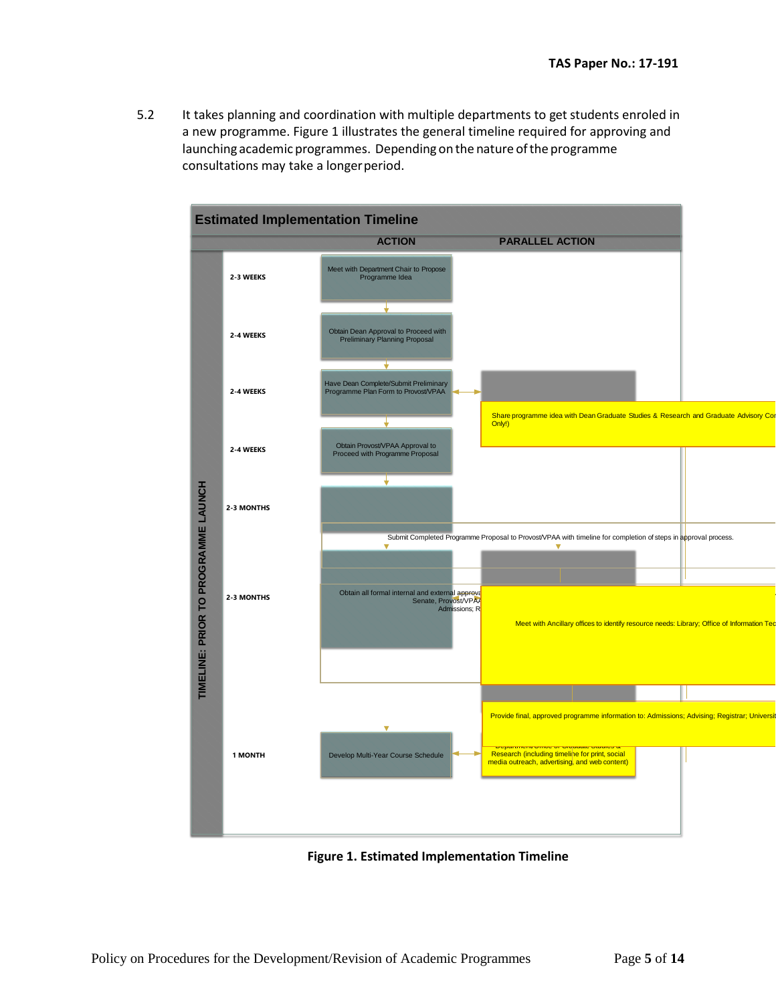5.2 It takes planning and coordination with multiple departments to get students enroled in a new programme. Figure 1 illustrates the general timeline required for approving and launching academic programmes. Depending on the nature ofthe programme consultations may take a longer period.



**Figure 1. Estimated Implementation Timeline**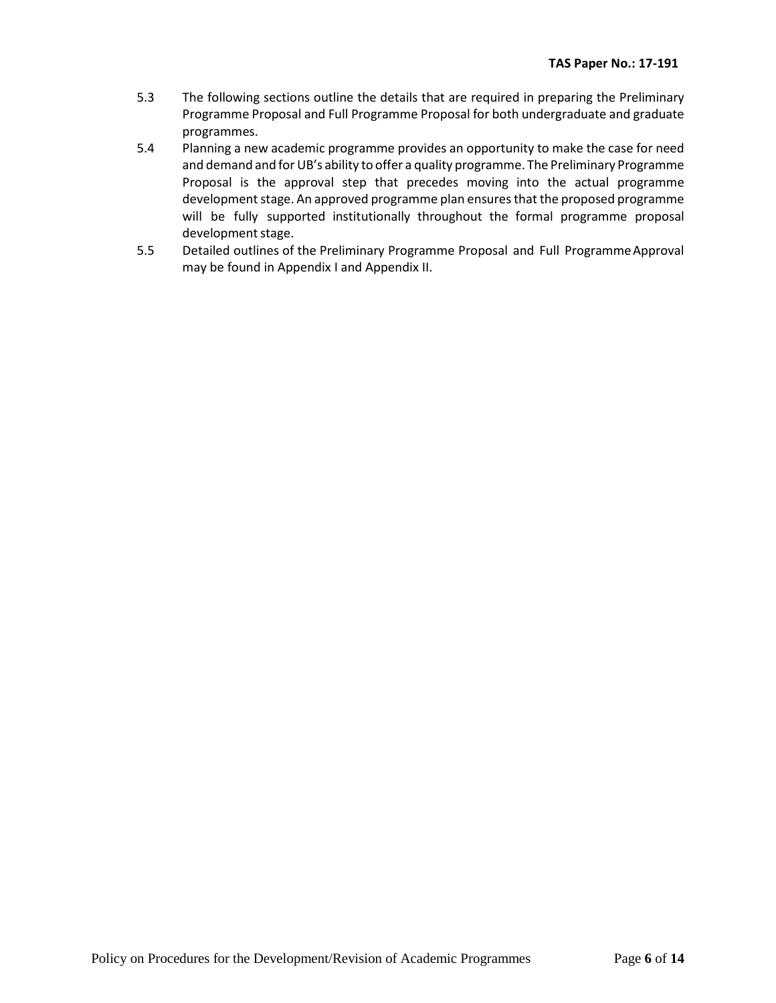- 5.3 The following sections outline the details that are required in preparing the Preliminary Programme Proposal and Full Programme Proposal for both undergraduate and graduate programmes.
- 5.4 Planning a new academic programme provides an opportunity to make the case for need and demand and for UB's ability to offer a quality programme. The Preliminary Programme Proposal is the approval step that precedes moving into the actual programme development stage. An approved programme plan ensures that the proposed programme will be fully supported institutionally throughout the formal programme proposal development stage.
- 5.5 Detailed outlines of the Preliminary Programme Proposal and Full Programme Approval may be found in Appendix I and Appendix II.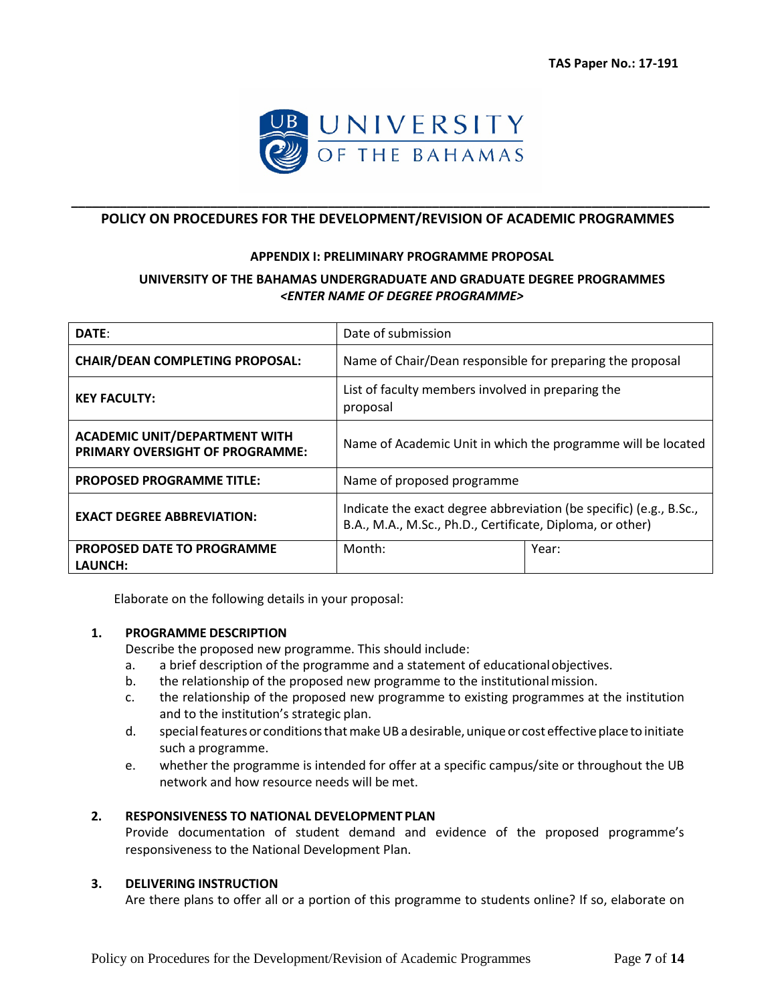

# **\_\_\_\_\_\_\_\_\_\_\_\_\_\_\_\_\_\_\_\_\_\_\_\_\_\_\_\_\_\_\_\_\_\_\_\_\_\_\_\_\_\_\_\_\_\_\_\_\_\_\_\_\_\_\_\_\_\_\_\_\_\_\_\_\_\_\_\_\_\_\_\_\_\_\_\_\_\_\_\_\_\_\_\_\_\_\_\_\_\_\_\_ POLICY ON PROCEDURES FOR THE DEVELOPMENT/REVISION OF ACADEMIC PROGRAMMES**

#### **APPENDIX I: PRELIMINARY PROGRAMME PROPOSAL**

# **UNIVERSITY OF THE BAHAMAS UNDERGRADUATE AND GRADUATE DEGREE PROGRAMMES** *<ENTER NAME OF DEGREE PROGRAMME>*

| DATE:                                                                          | Date of submission                                                                                                              |       |  |  |  |  |
|--------------------------------------------------------------------------------|---------------------------------------------------------------------------------------------------------------------------------|-------|--|--|--|--|
| <b>CHAIR/DEAN COMPLETING PROPOSAL:</b>                                         | Name of Chair/Dean responsible for preparing the proposal                                                                       |       |  |  |  |  |
| <b>KEY FACULTY:</b>                                                            | List of faculty members involved in preparing the<br>proposal                                                                   |       |  |  |  |  |
| <b>ACADEMIC UNIT/DEPARTMENT WITH</b><br><b>PRIMARY OVERSIGHT OF PROGRAMME:</b> | Name of Academic Unit in which the programme will be located                                                                    |       |  |  |  |  |
| <b>PROPOSED PROGRAMME TITLE:</b>                                               | Name of proposed programme                                                                                                      |       |  |  |  |  |
| <b>EXACT DEGREE ABBREVIATION:</b>                                              | Indicate the exact degree abbreviation (be specific) (e.g., B.Sc.,<br>B.A., M.A., M.Sc., Ph.D., Certificate, Diploma, or other) |       |  |  |  |  |
| PROPOSED DATE TO PROGRAMME<br>LAUNCH:                                          | Month:                                                                                                                          | Year: |  |  |  |  |

Elaborate on the following details in your proposal:

### **1. PROGRAMME DESCRIPTION**

Describe the proposed new programme. This should include:

- a. a brief description of the programme and a statement of educationalobjectives.
- b. the relationship of the proposed new programme to the institutional mission.
- c. the relationship of the proposed new programme to existing programmes at the institution and to the institution's strategic plan.
- d. special features or conditions that make UB a desirable, unique or cost effective place to initiate such a programme.
- e. whether the programme is intended for offer at a specific campus/site or throughout the UB network and how resource needs will be met.

### **2. RESPONSIVENESS TO NATIONAL DEVELOPMENT PLAN**

Provide documentation of student demand and evidence of the proposed programme's responsiveness to the National Development Plan.

### **3. DELIVERING INSTRUCTION**

Are there plans to offer all or a portion of this programme to students online? If so, elaborate on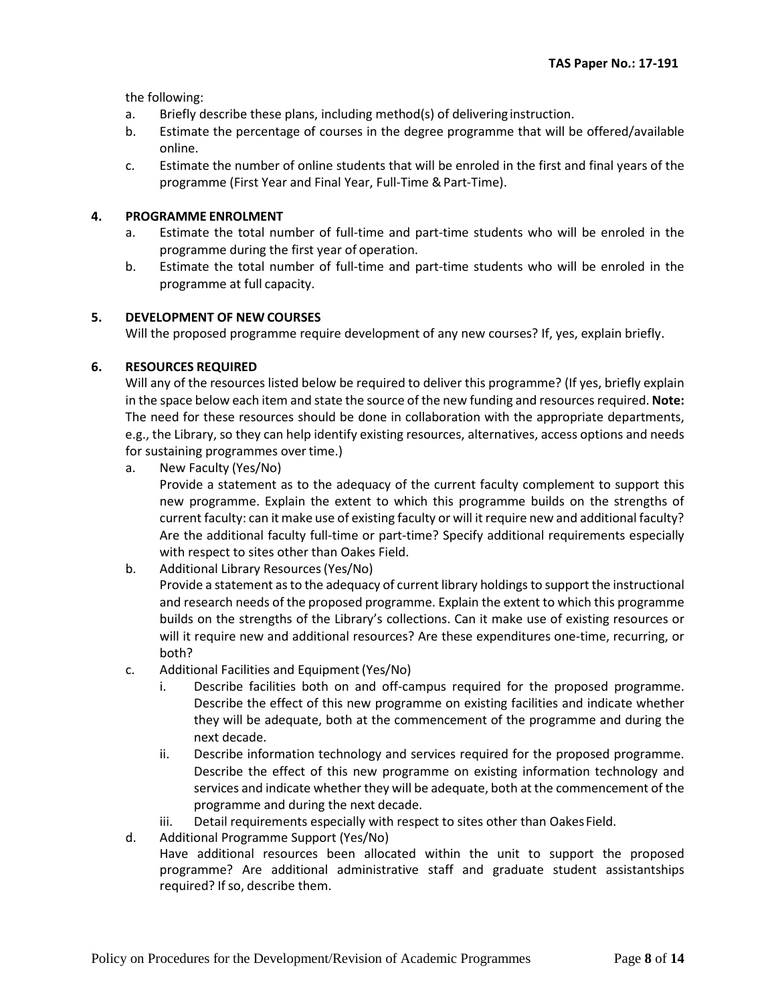the following:

- a. Briefly describe these plans, including method(s) of delivering instruction.
- b. Estimate the percentage of courses in the degree programme that will be offered/available online.
- c. Estimate the number of online students that will be enroled in the first and final years of the programme (First Year and Final Year, Full-Time & Part-Time).

#### **4. PROGRAMME ENROLMENT**

- a. Estimate the total number of full-time and part-time students who will be enroled in the programme during the first year of operation.
- b. Estimate the total number of full-time and part-time students who will be enroled in the programme at full capacity.

#### **5. DEVELOPMENT OF NEW COURSES**

Will the proposed programme require development of any new courses? If, yes, explain briefly.

### **6. RESOURCES REQUIRED**

Will any of the resources listed below be required to deliver this programme? (If yes, briefly explain in the space below each item and state the source of the new funding and resources required. **Note:**  The need for these resources should be done in collaboration with the appropriate departments, e.g., the Library, so they can help identify existing resources, alternatives, access options and needs for sustaining programmes over time.)

a. New Faculty (Yes/No)

Provide a statement as to the adequacy of the current faculty complement to support this new programme. Explain the extent to which this programme builds on the strengths of current faculty: can it make use of existing faculty or will it require new and additional faculty? Are the additional faculty full-time or part-time? Specify additional requirements especially with respect to sites other than Oakes Field.

b. Additional Library Resources(Yes/No)

Provide a statement as to the adequacy of current library holdings to support the instructional and research needs of the proposed programme. Explain the extent to which this programme builds on the strengths of the Library's collections. Can it make use of existing resources or will it require new and additional resources? Are these expenditures one-time, recurring, or both?

- c. Additional Facilities and Equipment(Yes/No)
	- i. Describe facilities both on and off-campus required for the proposed programme. Describe the effect of this new programme on existing facilities and indicate whether they will be adequate, both at the commencement of the programme and during the next decade.
	- ii. Describe information technology and services required for the proposed programme. Describe the effect of this new programme on existing information technology and services and indicate whether they will be adequate, both at the commencement of the programme and during the next decade.
	- iii. Detail requirements especially with respect to sites other than Oakes Field.
- d. Additional Programme Support (Yes/No) Have additional resources been allocated within the unit to support the proposed programme? Are additional administrative staff and graduate student assistantships required? If so, describe them.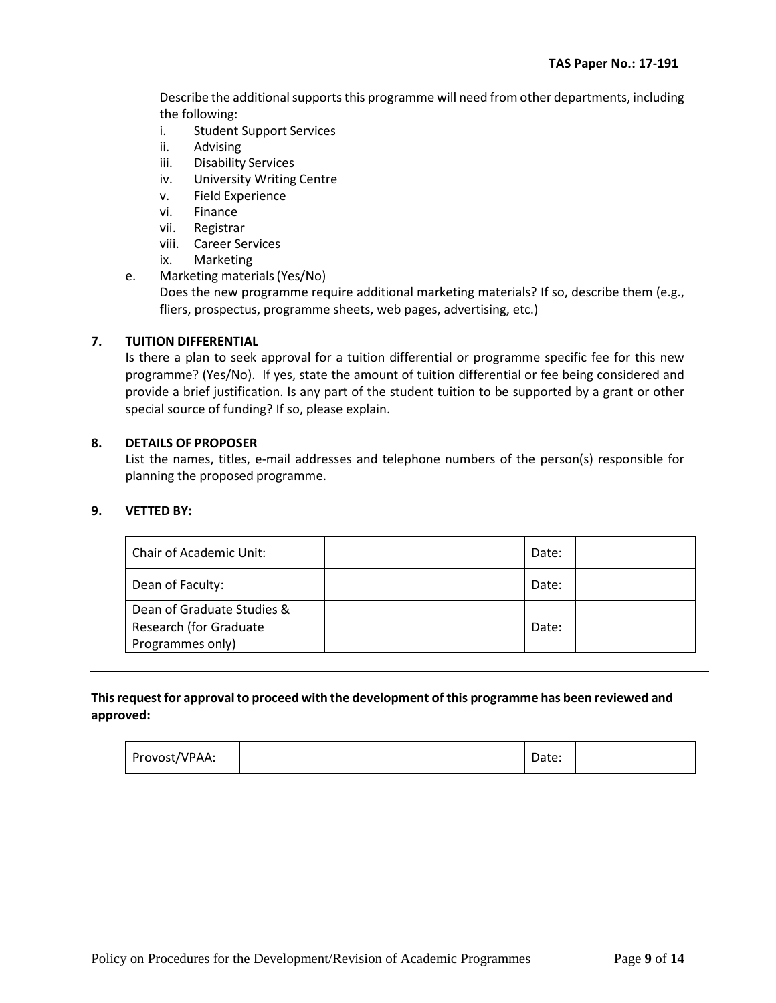Describe the additional supports this programme will need from other departments, including the following:

- i. Student Support Services
- ii. Advising
- iii. Disability Services
- iv. University Writing Centre
- v. Field Experience
- vi. Finance
- vii. Registrar
- viii. Career Services
- ix. Marketing
- e. Marketing materials(Yes/No)

Does the new programme require additional marketing materials? If so, describe them (e.g., fliers, prospectus, programme sheets, web pages, advertising, etc.)

### **7. TUITION DIFFERENTIAL**

Is there a plan to seek approval for a tuition differential or programme specific fee for this new programme? (Yes/No). If yes, state the amount of tuition differential or fee being considered and provide a brief justification. Is any part of the student tuition to be supported by a grant or other special source of funding? If so, please explain.

#### **8. DETAILS OF PROPOSER**

List the names, titles, e-mail addresses and telephone numbers of the person(s) responsible for planning the proposed programme.

#### **9. VETTED BY:**

| Chair of Academic Unit:    | Date: |  |
|----------------------------|-------|--|
| Dean of Faculty:           | Date: |  |
| Dean of Graduate Studies & |       |  |
| Research (for Graduate     | Date: |  |
| Programmes only)           |       |  |

# **Thisrequest for approvalto proceed with the development of this programme has been reviewed and approved:**

| Date: |  |
|-------|--|
|       |  |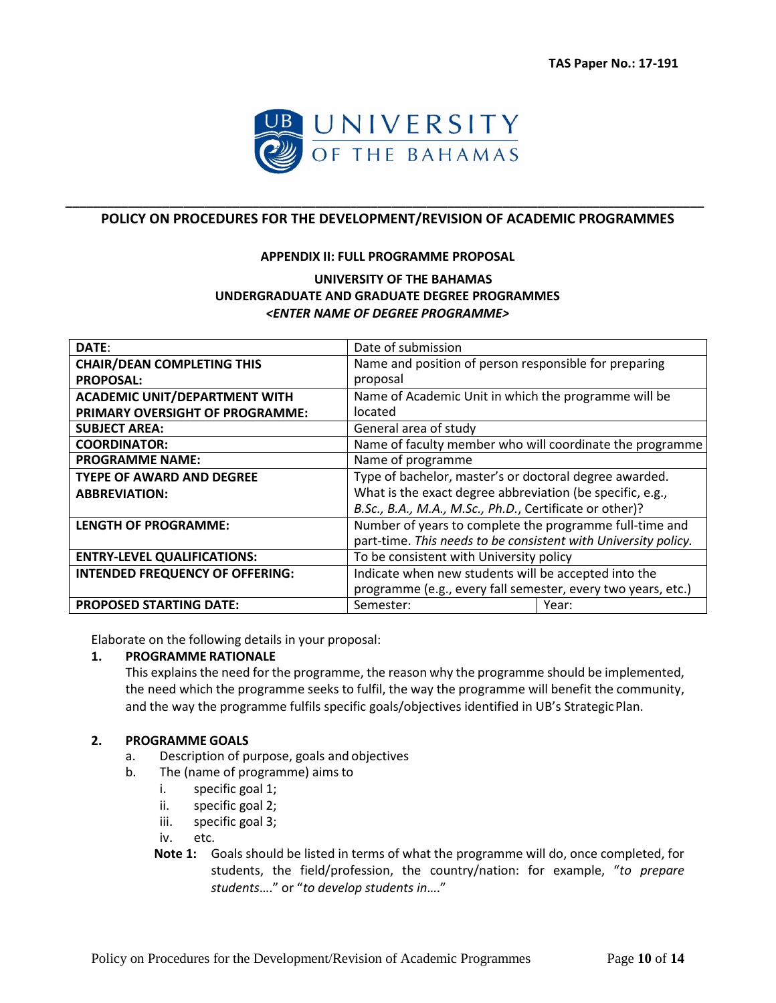

# **\_\_\_\_\_\_\_\_\_\_\_\_\_\_\_\_\_\_\_\_\_\_\_\_\_\_\_\_\_\_\_\_\_\_\_\_\_\_\_\_\_\_\_\_\_\_\_\_\_\_\_\_\_\_\_\_\_\_\_\_\_\_\_\_\_\_\_\_\_\_\_\_\_\_\_\_\_\_\_\_\_\_\_\_\_\_\_\_\_\_\_\_ POLICY ON PROCEDURES FOR THE DEVELOPMENT/REVISION OF ACADEMIC PROGRAMMES**

#### **APPENDIX II: FULL PROGRAMME PROPOSAL**

# **UNIVERSITY OF THE BAHAMAS UNDERGRADUATE AND GRADUATE DEGREE PROGRAMMES** *<ENTER NAME OF DEGREE PROGRAMME>*

| DATE:                                  | Date of submission                                             |  |  |  |  |
|----------------------------------------|----------------------------------------------------------------|--|--|--|--|
| <b>CHAIR/DEAN COMPLETING THIS</b>      | Name and position of person responsible for preparing          |  |  |  |  |
| <b>PROPOSAL:</b>                       | proposal                                                       |  |  |  |  |
| <b>ACADEMIC UNIT/DEPARTMENT WITH</b>   | Name of Academic Unit in which the programme will be           |  |  |  |  |
| PRIMARY OVERSIGHT OF PROGRAMME:        | located                                                        |  |  |  |  |
| <b>SUBJECT AREA:</b>                   | General area of study                                          |  |  |  |  |
| <b>COORDINATOR:</b>                    | Name of faculty member who will coordinate the programme       |  |  |  |  |
| <b>PROGRAMME NAME:</b>                 | Name of programme                                              |  |  |  |  |
| <b>TYEPE OF AWARD AND DEGREE</b>       | Type of bachelor, master's or doctoral degree awarded.         |  |  |  |  |
| <b>ABBREVIATION:</b>                   | What is the exact degree abbreviation (be specific, e.g.,      |  |  |  |  |
|                                        | B.Sc., B.A., M.A., M.Sc., Ph.D., Certificate or other)?        |  |  |  |  |
| <b>LENGTH OF PROGRAMME:</b>            | Number of years to complete the programme full-time and        |  |  |  |  |
|                                        | part-time. This needs to be consistent with University policy. |  |  |  |  |
| <b>ENTRY-LEVEL QUALIFICATIONS:</b>     | To be consistent with University policy                        |  |  |  |  |
| <b>INTENDED FREQUENCY OF OFFERING:</b> | Indicate when new students will be accepted into the           |  |  |  |  |
|                                        | programme (e.g., every fall semester, every two years, etc.)   |  |  |  |  |
| <b>PROPOSED STARTING DATE:</b>         | Semester:<br>Year:                                             |  |  |  |  |

Elaborate on the following details in your proposal:

#### **1. PROGRAMME RATIONALE**

This explains the need for the programme, the reason why the programme should be implemented, the need which the programme seeks to fulfil, the way the programme will benefit the community, and the way the programme fulfils specific goals/objectives identified in UB's StrategicPlan.

### **2. PROGRAMME GOALS**

- a. Description of purpose, goals and objectives
- b. The (name of programme) aimsto
	- i. specific goal 1;
	- ii. specific goal 2;
	- iii. specific goal 3;

iv. etc.

**Note 1:** Goals should be listed in terms of what the programme will do, once completed, for students, the field/profession, the country/nation: for example, "*to prepare students*…." or "*to develop students in*…."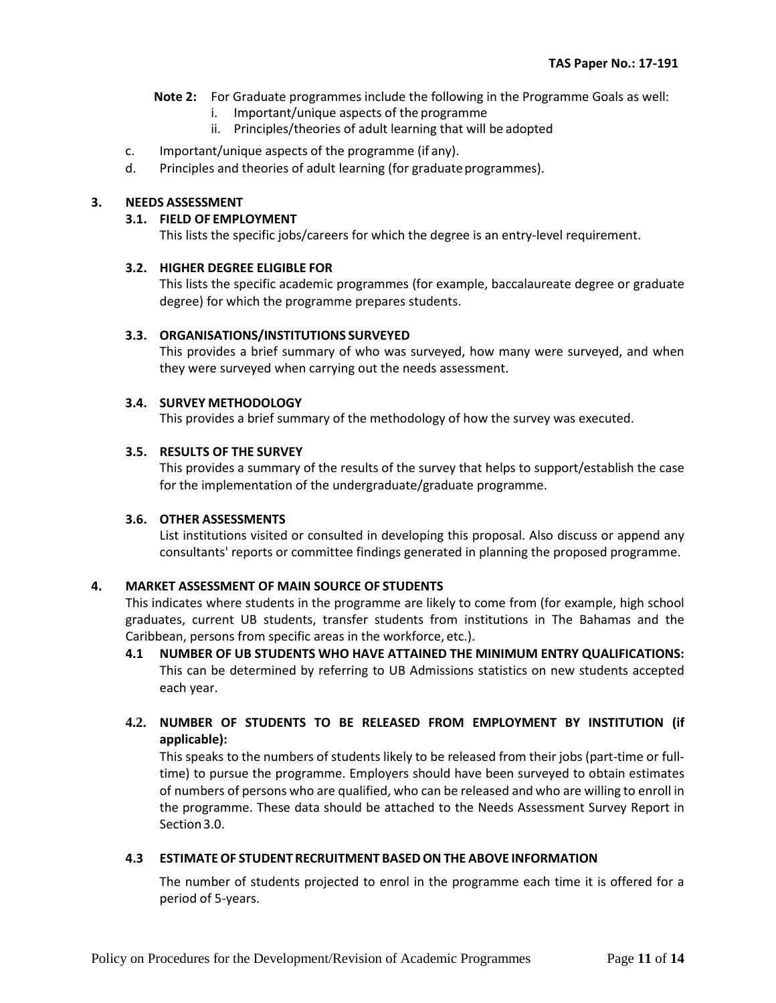**Note 2:** For Graduate programmes include the following in the Programme Goals as well:

- i. Important/unique aspects of the programme
- ii. Principles/theories of adult learning that will be adopted
- c. Important/unique aspects of the programme (if any).
- d. Principles and theories of adult learning (for graduate programmes).

### **3. NEEDS ASSESSMENT**

#### **3.1. FIELD OF EMPLOYMENT**

This lists the specific jobs/careers for which the degree is an entry-level requirement.

### **3.2. HIGHER DEGREE ELIGIBLE FOR**

This lists the specific academic programmes (for example, baccalaureate degree or graduate degree) for which the programme prepares students.

### **3.3. ORGANISATIONS/INSTITUTIONS SURVEYED**

This provides a brief summary of who was surveyed, how many were surveyed, and when they were surveyed when carrying out the needs assessment.

### **3.4. SURVEY METHODOLOGY**

This provides a brief summary of the methodology of how the survey was executed.

### **3.5. RESULTS OF THE SURVEY**

This provides a summary of the results of the survey that helps to support/establish the case for the implementation of the undergraduate/graduate programme.

#### **3.6. OTHER ASSESSMENTS**

List institutions visited or consulted in developing this proposal. Also discuss or append any consultants' reports or committee findings generated in planning the proposed programme.

# **4. MARKET ASSESSMENT OF MAIN SOURCE OF STUDENTS**

This indicates where students in the programme are likely to come from (for example, high school graduates, current UB students, transfer students from institutions in The Bahamas and the Caribbean, persons from specific areas in the workforce, etc.).

**4.1 NUMBER OF UB STUDENTS WHO HAVE ATTAINED THE MINIMUM ENTRY QUALIFICATIONS:** This can be determined by referring to UB Admissions statistics on new students accepted each year.

# **4.2. NUMBER OF STUDENTS TO BE RELEASED FROM EMPLOYMENT BY INSTITUTION (if applicable):**

This speaks to the numbers of students likely to be released from their jobs (part-time or fulltime) to pursue the programme. Employers should have been surveyed to obtain estimates of numbers of persons who are qualified, who can be released and who are willing to enroll in the programme. These data should be attached to the Needs Assessment Survey Report in Section3.0.

# **4.3 ESTIMATEOF STUDENT RECRUITMENT BASEDON THE ABOVE INFORMATION**

The number of students projected to enrol in the programme each time it is offered for a period of 5-years.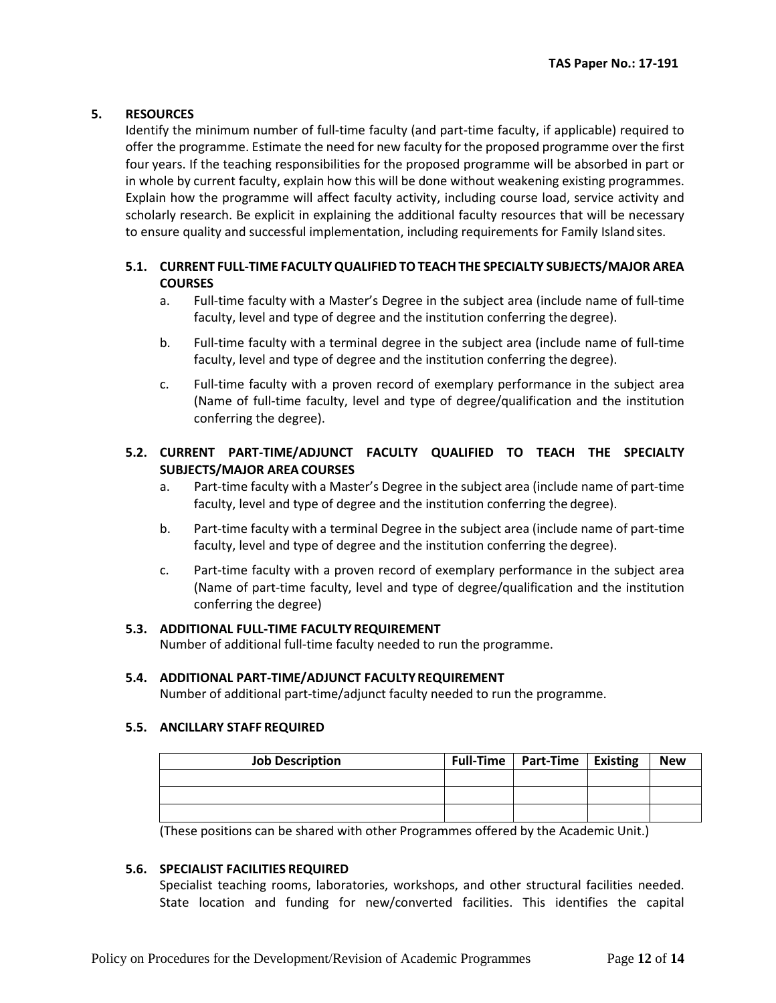### **5. RESOURCES**

Identify the minimum number of full-time faculty (and part-time faculty, if applicable) required to offer the programme. Estimate the need for new faculty for the proposed programme over the first four years. If the teaching responsibilities for the proposed programme will be absorbed in part or in whole by current faculty, explain how this will be done without weakening existing programmes. Explain how the programme will affect faculty activity, including course load, service activity and scholarly research. Be explicit in explaining the additional faculty resources that will be necessary to ensure quality and successful implementation, including requirements for Family Islandsites.

# **5.1. CURRENT FULL-TIME FACULTY QUALIFIED TO TEACH THE SPECIALTY SUBJECTS/MAJOR AREA COURSES**

- a. Full-time faculty with a Master's Degree in the subject area (include name of full-time faculty, level and type of degree and the institution conferring the degree).
- b. Full-time faculty with a terminal degree in the subject area (include name of full-time faculty, level and type of degree and the institution conferring the degree).
- c. Full-time faculty with a proven record of exemplary performance in the subject area (Name of full-time faculty, level and type of degree/qualification and the institution conferring the degree).

# **5.2. CURRENT PART-TIME/ADJUNCT FACULTY QUALIFIED TO TEACH THE SPECIALTY SUBJECTS/MAJOR AREA COURSES**

- a. Part-time faculty with a Master's Degree in the subject area (include name of part-time faculty, level and type of degree and the institution conferring the degree).
- b. Part-time faculty with a terminal Degree in the subject area (include name of part-time faculty, level and type of degree and the institution conferring the degree).
- c. Part-time faculty with a proven record of exemplary performance in the subject area (Name of part-time faculty, level and type of degree/qualification and the institution conferring the degree)

# **5.3. ADDITIONAL FULL-TIME FACULTY REQUIREMENT**

Number of additional full-time faculty needed to run the programme.

#### **5.4. ADDITIONAL PART-TIME/ADJUNCT FACULTYREQUIREMENT**

Number of additional part-time/adjunct faculty needed to run the programme.

# **5.5. ANCILLARY STAFF REQUIRED**

| <b>Job Description</b> | Full-Time   Part-Time   Existing | <b>New</b> |
|------------------------|----------------------------------|------------|
|                        |                                  |            |
|                        |                                  |            |
|                        |                                  |            |

(These positions can be shared with other Programmes offered by the Academic Unit.)

#### **5.6. SPECIALIST FACILITIES REQUIRED**

Specialist teaching rooms, laboratories, workshops, and other structural facilities needed. State location and funding for new/converted facilities. This identifies the capital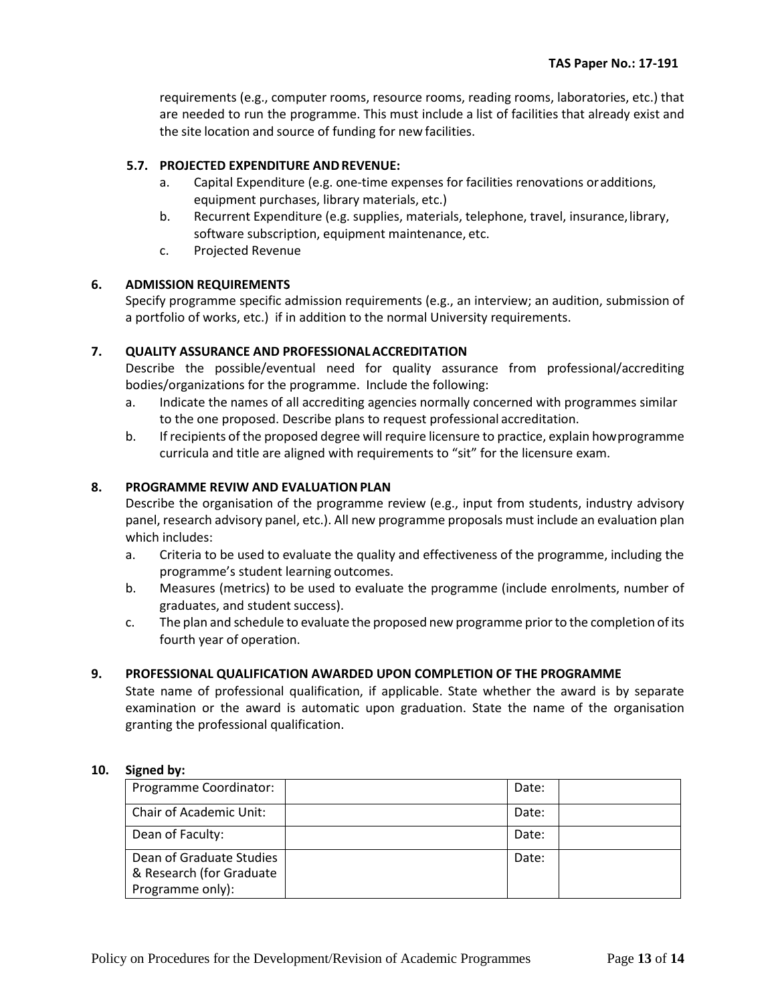requirements (e.g., computer rooms, resource rooms, reading rooms, laboratories, etc.) that are needed to run the programme. This must include a list of facilities that already exist and the site location and source of funding for new facilities.

### **5.7. PROJECTED EXPENDITURE ANDREVENUE:**

- a. Capital Expenditure (e.g. one-time expenses for facilities renovations oradditions, equipment purchases, library materials, etc.)
- b. Recurrent Expenditure (e.g. supplies, materials, telephone, travel, insurance,library, software subscription, equipment maintenance, etc.
- c. Projected Revenue

### **6. ADMISSION REQUIREMENTS**

Specify programme specific admission requirements (e.g., an interview; an audition, submission of a portfolio of works, etc.) if in addition to the normal University requirements.

### **7. QUALITY ASSURANCE AND PROFESSIONALACCREDITATION**

Describe the possible/eventual need for quality assurance from professional/accrediting bodies/organizations for the programme. Include the following:

- a. Indicate the names of all accrediting agencies normally concerned with programmes similar to the one proposed. Describe plans to request professional accreditation.
- b. If recipients of the proposed degree will require licensure to practice, explain howprogramme curricula and title are aligned with requirements to "sit" for the licensure exam.

### 8. **PROGRAMME REVIW AND EVALUATION PLAN**

Describe the organisation of the programme review (e.g., input from students, industry advisory panel, research advisory panel, etc.). All new programme proposals must include an evaluation plan which includes:

- a. Criteria to be used to evaluate the quality and effectiveness of the programme, including the programme's student learning outcomes.
- b. Measures (metrics) to be used to evaluate the programme (include enrolments, number of graduates, and student success).
- c. The plan and schedule to evaluate the proposed new programme priorto the completion of its fourth year of operation.

#### **9. PROFESSIONAL QUALIFICATION AWARDED UPON COMPLETION OF THE PROGRAMME**

State name of professional qualification, if applicable. State whether the award is by separate examination or the award is automatic upon graduation. State the name of the organisation granting the professional qualification.

#### **10. Signed by:**

| Programme Coordinator:                                                   | Date: |  |
|--------------------------------------------------------------------------|-------|--|
| Chair of Academic Unit:                                                  | Date: |  |
| Dean of Faculty:                                                         | Date: |  |
| Dean of Graduate Studies<br>& Research (for Graduate<br>Programme only): | Date: |  |